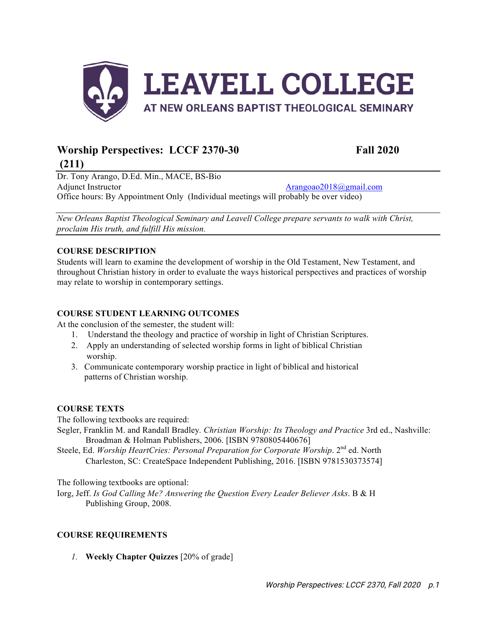

# Worship Perspectives: LCCF 2370-30 Fall 2020

Dr. Tony Arango, D.Ed. Min., MACE, BS-Bio Adjunct Instructor Arangoao2018@gmail.com Office hours: By Appointment Only (Individual meetings will probably be over video)

*New Orleans Baptist Theological Seminary and Leavell College prepare servants to walk with Christ, proclaim His truth, and fulfill His mission.*

# **COURSE DESCRIPTION**

**(211)**

Students will learn to examine the development of worship in the Old Testament, New Testament, and throughout Christian history in order to evaluate the ways historical perspectives and practices of worship may relate to worship in contemporary settings.

## **COURSE STUDENT LEARNING OUTCOMES**

At the conclusion of the semester, the student will:

- 1. Understand the theology and practice of worship in light of Christian Scriptures.
- 2. Apply an understanding of selected worship forms in light of biblical Christian worship.
- 3. Communicate contemporary worship practice in light of biblical and historical patterns of Christian worship.

## **COURSE TEXTS**

The following textbooks are required:

- Segler, Franklin M. and Randall Bradley*. Christian Worship: Its Theology and Practice* 3rd ed., Nashville: Broadman & Holman Publishers, 2006. [ISBN 9780805440676]
- Steele, Ed. Worship HeartCries: Personal Preparation for Corporate Worship. 2<sup>nd</sup> ed. North Charleston, SC: CreateSpace Independent Publishing, 2016. [ISBN 9781530373574]

The following textbooks are optional:

Iorg, Jeff. *Is God Calling Me? Answering the Question Every Leader Believer Asks*. B & H Publishing Group, 2008.

## **COURSE REQUIREMENTS**

*1.* **Weekly Chapter Quizzes** [20% of grade]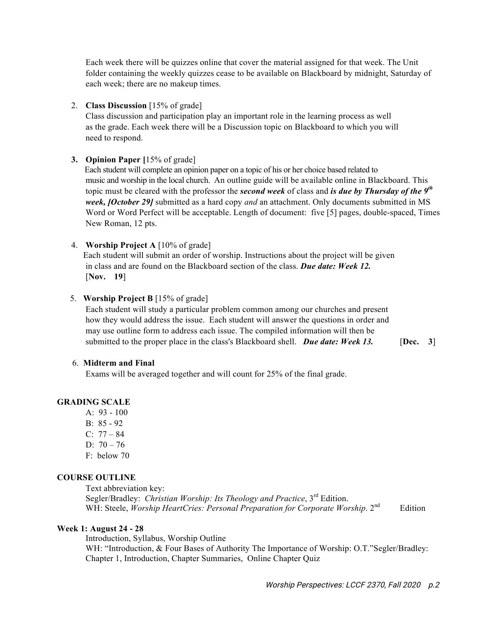Each week there will be quizzes online that cover the material assigned for that week. The Unit folder containing the weekly quizzes cease to be available on Blackboard by midnight, Saturday of each week; there are no makeup times.

## 2. **Class Discussion** [15% of grade]

Class discussion and participation play an important role in the learning process as well as the grade. Each week there will be a Discussion topic on Blackboard to which you will need to respond.

# **3. Opinion Paper [**15% of grade]

 Each student will complete an opinion paper on a topic of his or her choice based related to music and worship in the local church. An outline guide will be available online in Blackboard. This topic must be cleared with the professor the *second week* of class and *is due by Thursday of the 9th week, [October 29]* submitted as a hard copy *and* an attachment. Only documents submitted in MS Word or Word Perfect will be acceptable. Length of document: five [5] pages, double-spaced, Times New Roman, 12 pts.

## 4. **Worship Project A** [10% of grade]

 Each student will submit an order of worship. Instructions about the project will be given in class and are found on the Blackboard section of the class. *Due date: Week 12.* [**Nov. 19**]

## 5. **Worship Project B** [15% of grade]

Each student will study a particular problem common among our churches and present how they would address the issue. Each student will answer the questions in order and may use outline form to address each issue. The compiled information will then be submitted to the proper place in the class's Blackboard shell. *Due date: Week 13*. [Dec. 3]

## 6. **Midterm and Final**

Exams will be averaged together and will count for 25% of the final grade.

# **GRADING SCALE**

- A: 93 100
- B: 85 92
- $C: 77 84$
- D:  $70 76$
- F: below 70

## **COURSE OUTLINE**

Text abbreviation key: Segler/Bradley: *Christian Worship: Its Theology and Practice*, 3rd Edition. WH: Steele, *Worship HeartCries: Personal Preparation for Corporate Worship*. 2<sup>nd</sup> Edition

## **Week 1: August 24 - 28**

Introduction, Syllabus, Worship Outline WH: "Introduction, & Four Bases of Authority The Importance of Worship: O.T."Segler/Bradley: Chapter 1, Introduction, Chapter Summaries, Online Chapter Quiz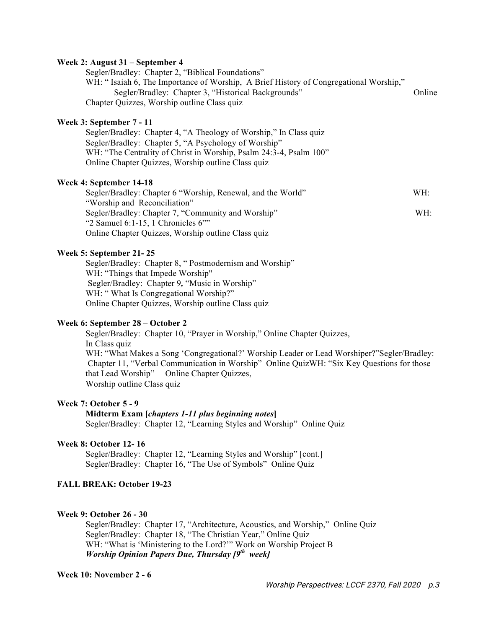#### **Week 2: August 31 – September 4**

Segler/Bradley: Chapter 2, "Biblical Foundations" WH: "Isaiah 6, The Importance of Worship, A Brief History of Congregational Worship," Segler/Bradley: Chapter 3, "Historical Backgrounds" Conline Chapter Quizzes, Worship outline Class quiz

#### **Week 3: September 7 - 11**

Segler/Bradley: Chapter 4, "A Theology of Worship," In Class quiz Segler/Bradley: Chapter 5, "A Psychology of Worship" WH: "The Centrality of Christ in Worship, Psalm 24:3-4, Psalm 100" Online Chapter Quizzes, Worship outline Class quiz

#### **Week 4: September 14-18**

Segler/Bradley: Chapter 6 "Worship, Renewal, and the World" WH: "Worship and Reconciliation" Segler/Bradley: Chapter 7, "Community and Worship" WH: "2 Samuel 6:1-15, 1 Chronicles 6"" Online Chapter Quizzes, Worship outline Class quiz

#### **Week 5: September 21- 25**

Segler/Bradley: Chapter 8, " Postmodernism and Worship" WH: "Things that Impede Worship" Segler/Bradley: Chapter 9*,* "Music in Worship" WH: "What Is Congregational Worship?" Online Chapter Quizzes, Worship outline Class quiz

#### **Week 6: September 28 – October 2**

Segler/Bradley: Chapter 10, "Prayer in Worship," Online Chapter Quizzes, In Class quiz WH: "What Makes a Song 'Congregational?' Worship Leader or Lead Worshiper?"Segler/Bradley: Chapter 11, "Verbal Communication in Worship" Online QuizWH: "Six Key Questions for those that Lead Worship"Online Chapter Quizzes, Worship outline Class quiz

## **Week 7: October 5 - 9**

**Midterm Exam [***chapters 1-11 plus beginning notes***]** Segler/Bradley: Chapter 12, "Learning Styles and Worship" Online Quiz

#### **Week 8: October 12- 16**

Segler/Bradley: Chapter 12, "Learning Styles and Worship" [cont.] Segler/Bradley: Chapter 16, "The Use of Symbols"Online Quiz

## **FALL BREAK: October 19-23**

#### **Week 9: October 26 - 30**

Segler/Bradley: Chapter 17, "Architecture, Acoustics, and Worship," Online Quiz Segler/Bradley: Chapter 18, "The Christian Year," Online Quiz WH: "What is 'Ministering to the Lord?'" Work on Worship Project B *Worship Opinion Papers Due, Thursday [9th week]*

## **Week 10: November 2 - 6**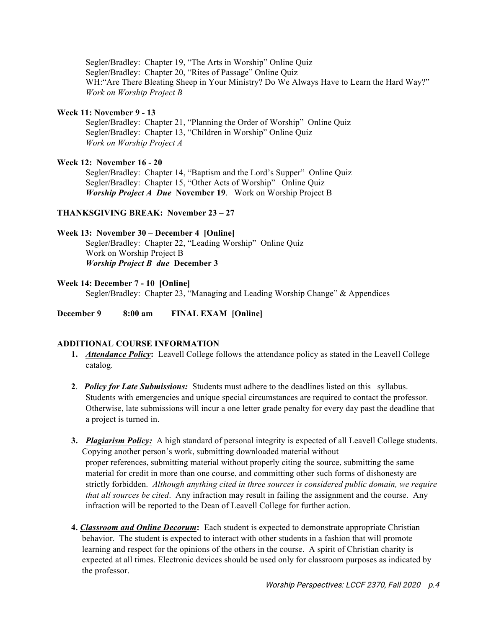Segler/Bradley: Chapter 19, "The Arts in Worship" Online Quiz Segler/Bradley: Chapter 20, "Rites of Passage" Online Quiz WH:"Are There Bleating Sheep in Your Ministry? Do We Always Have to Learn the Hard Way?" *Work on Worship Project B*

#### **Week 11: November 9 - 13**

Segler/Bradley: Chapter 21, "Planning the Order of Worship" Online Quiz Segler/Bradley: Chapter 13, "Children in Worship" Online Quiz *Work on Worship Project A*

## **Week 12: November 16 - 20**

Segler/Bradley: Chapter 14, "Baptism and the Lord's Supper" Online Quiz Segler/Bradley: Chapter 15, "Other Acts of Worship" Online Quiz *Worship Project A Due* **November 19**. Work on Worship Project B

## **THANKSGIVING BREAK: November 23 – 27**

# **Week 13: November 30 – December 4 [Online]**

Segler/Bradley: Chapter 22, "Leading Worship" Online Quiz Work on Worship Project B *Worship Project B due* **December 3**

## **Week 14: December 7 - 10 [Online]**

Segler/Bradley: Chapter 23, "Managing and Leading Worship Change" & Appendices

**December 9 8:00 am FINAL EXAM [Online]** 

## **ADDITIONAL COURSE INFORMATION**

- **1.** *Attendance Policy***:** Leavell College follows the attendance policy as stated in the Leavell College catalog.
- **2**. *Policy for Late Submissions:* Students must adhere to the deadlines listed on this syllabus. Students with emergencies and unique special circumstances are required to contact the professor. Otherwise, late submissions will incur a one letter grade penalty for every day past the deadline that a project is turned in.
- **3.** *Plagiarism Policy:* A high standard of personal integrity is expected of all Leavell College students. Copying another person's work, submitting downloaded material without proper references, submitting material without properly citing the source, submitting the same material for credit in more than one course, and committing other such forms of dishonesty are strictly forbidden. *Although anything cited in three sources is considered public domain, we require that all sources be cited*. Any infraction may result in failing the assignment and the course. Any infraction will be reported to the Dean of Leavell College for further action.
- **4.** *Classroom and Online Decorum***:** Each student is expected to demonstrate appropriate Christian behavior. The student is expected to interact with other students in a fashion that will promote learning and respect for the opinions of the others in the course. A spirit of Christian charity is expected at all times. Electronic devices should be used only for classroom purposes as indicated by the professor.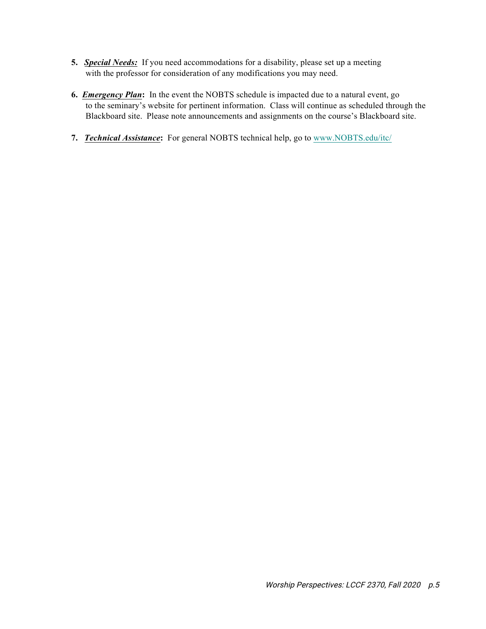- **5.** *Special Needs:* If you need accommodations for a disability, please set up a meeting with the professor for consideration of any modifications you may need.
- **6.** *Emergency Plan***:** In the event the NOBTS schedule is impacted due to a natural event, go to the seminary's website for pertinent information. Class will continue as scheduled through the Blackboard site. Please note announcements and assignments on the course's Blackboard site.
- **7.** *Technical Assistance***:** For general NOBTS technical help, go to www.NOBTS.edu/itc/